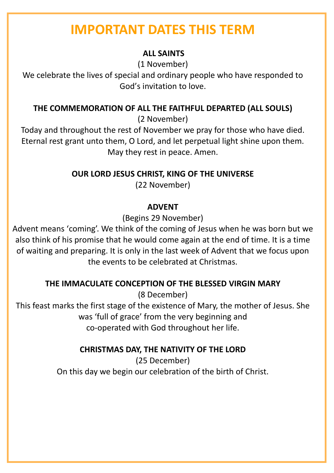# **IMPORTANT DATES THIS TERM**

# **ALL SAINTS**

(1 November)

We celebrate the lives of special and ordinary people who have responded to God's invitation to love.

# **THE COMMEMORATION OF ALL THE FAITHFUL DEPARTED (ALL SOULS)**

(2 November)

Today and throughout the rest of November we pray for those who have died. Eternal rest grant unto them, O Lord, and let perpetual light shine upon them. May they rest in peace. Amen.

**OUR LORD JESUS CHRIST, KING OF THE UNIVERSE**

(22 November)

# **ADVENT**

(Begins 29 November)

Advent means 'coming'. We think of the coming of Jesus when he was born but we also think of his promise that he would come again at the end of time. It is a time of waiting and preparing. It is only in the last week of Advent that we focus upon the events to be celebrated at Christmas.

# **THE IMMACULATE CONCEPTION OF THE BLESSED VIRGIN MARY**

(8 December)

This feast marks the first stage of the existence of Mary, the mother of Jesus. She was 'full of grace' from the very beginning and co-operated with God throughout her life.

# **CHRISTMAS DAY, THE NATIVITY OF THE LORD**

(25 December) On this day we begin our celebration of the birth of Christ.